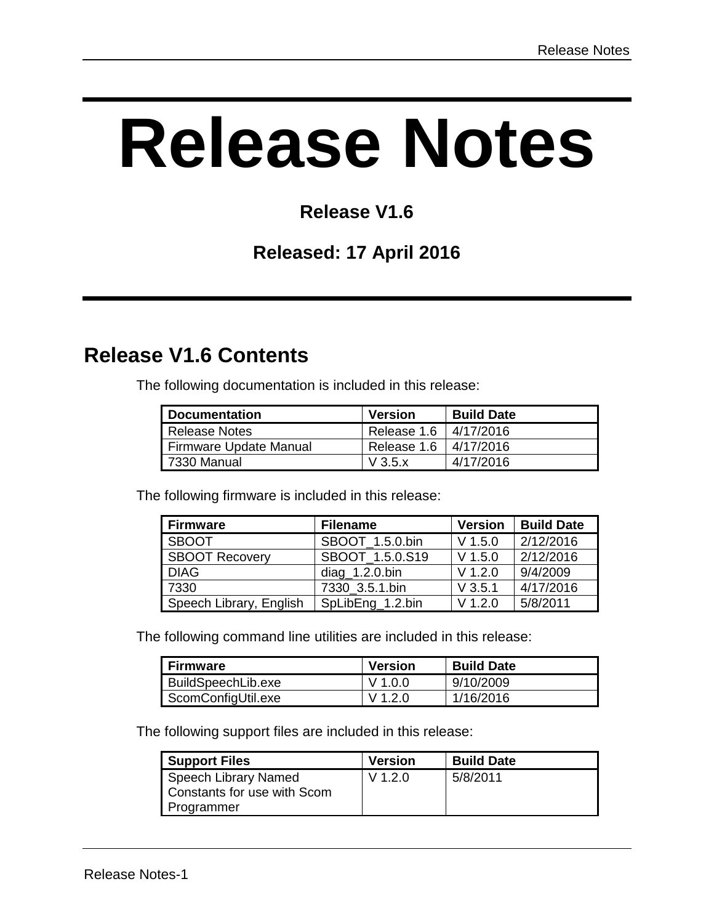# **Release Notes**

## **Release V1.6**

#### **Released: 17 April 2016**

## **Release V1.6 Contents**

The following documentation is included in this release:

| <b>Documentation</b>   | <b>Version</b>   | <b>Build Date</b> |
|------------------------|------------------|-------------------|
| Release Notes          | Release 1.6      | 4/17/2016         |
| Firmware Update Manual | Release 1.6      | 4/17/2016         |
| 7330 Manual            | $V$ 3.5 $\times$ | 4/17/2016         |

The following firmware is included in this release:

| <b>Firmware</b>         | <b>Filename</b>   | <b>Version</b> | <b>Build Date</b> |
|-------------------------|-------------------|----------------|-------------------|
| <b>SBOOT</b>            | SBOOT 1.5.0.bin   | $V$ 1.5.0      | 2/12/2016         |
| SBOOT Recovery          | SBOOT 1.5.0.S19   | $V$ 1.5.0      | 2/12/2016         |
| <b>DIAG</b>             | $diag_1.2.0$ .bin | $V$ 1.2.0      | 9/4/2009          |
| 7330                    | 7330 3.5.1.bin    | $V$ 3.5.1      | 4/17/2016         |
| Speech Library, English | SpLibEng 1.2.bin  | $V$ 1.2.0      | 5/8/2011          |

The following command line utilities are included in this release:

| <b>Firmware</b>    | <b>Version</b> | <b>Build Date</b> |
|--------------------|----------------|-------------------|
| BuildSpeechLib.exe | V 1.0.0        | 9/10/2009         |
| ScomConfigUtil.exe | V 1 2 0        | 1/16/2016         |

The following support files are included in this release:

| <b>Support Files</b>                                | <b>Version</b> | <b>Build Date</b> |
|-----------------------------------------------------|----------------|-------------------|
| Speech Library Named<br>Constants for use with Scom | $V$ 1.2.0      | 5/8/2011          |
| Programmer                                          |                |                   |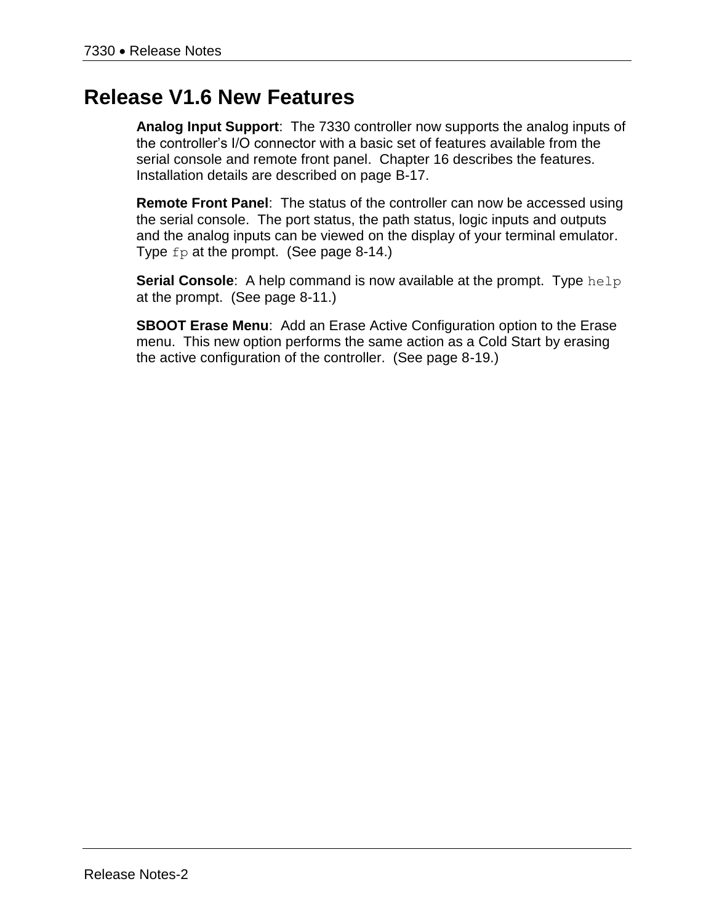### **Release V1.6 New Features**

**Analog Input Support**: The 7330 controller now supports the analog inputs of the controller's I/O connector with a basic set of features available from the serial console and remote front panel. Chapter 16 describes the features. Installation details are described on page B-17.

**Remote Front Panel**: The status of the controller can now be accessed using the serial console. The port status, the path status, logic inputs and outputs and the analog inputs can be viewed on the display of your terminal emulator. Type fp at the prompt. (See page 8-14.)

**Serial Console:** A help command is now available at the prompt. Type help at the prompt. (See page 8-11.)

**SBOOT Erase Menu**: Add an Erase Active Configuration option to the Erase menu. This new option performs the same action as a Cold Start by erasing the active configuration of the controller. (See page 8-19.)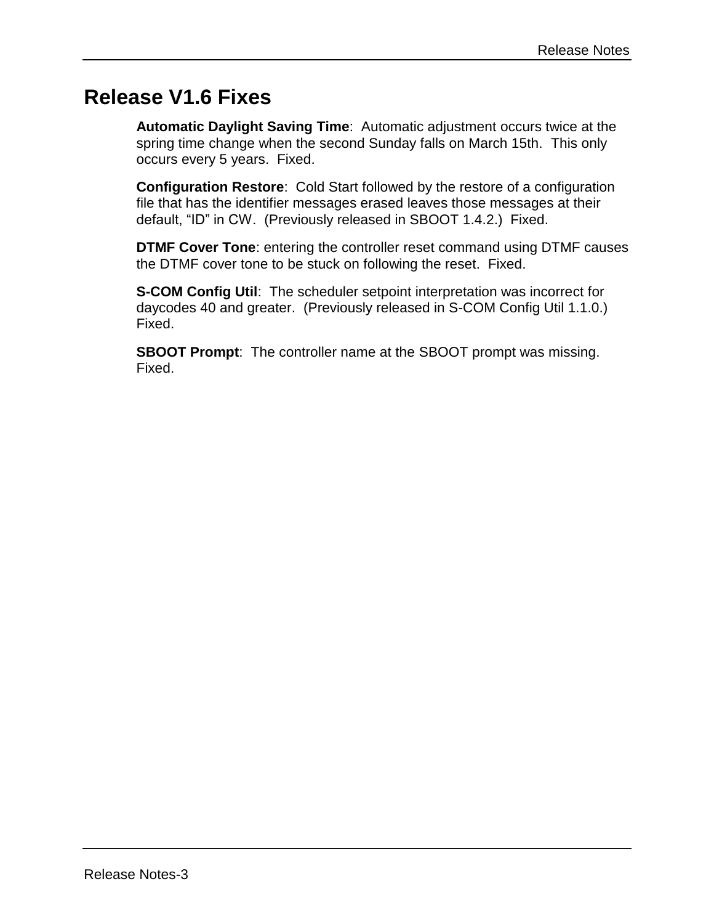## **Release V1.6 Fixes**

**Automatic Daylight Saving Time**: Automatic adjustment occurs twice at the spring time change when the second Sunday falls on March 15th. This only occurs every 5 years. Fixed.

**Configuration Restore**: Cold Start followed by the restore of a configuration file that has the identifier messages erased leaves those messages at their default, "ID" in CW. (Previously released in SBOOT 1.4.2.) Fixed.

**DTMF Cover Tone**: entering the controller reset command using DTMF causes the DTMF cover tone to be stuck on following the reset. Fixed.

**S-COM Config Util**: The scheduler setpoint interpretation was incorrect for daycodes 40 and greater. (Previously released in S-COM Config Util 1.1.0.) Fixed.

**SBOOT Prompt**: The controller name at the SBOOT prompt was missing. Fixed.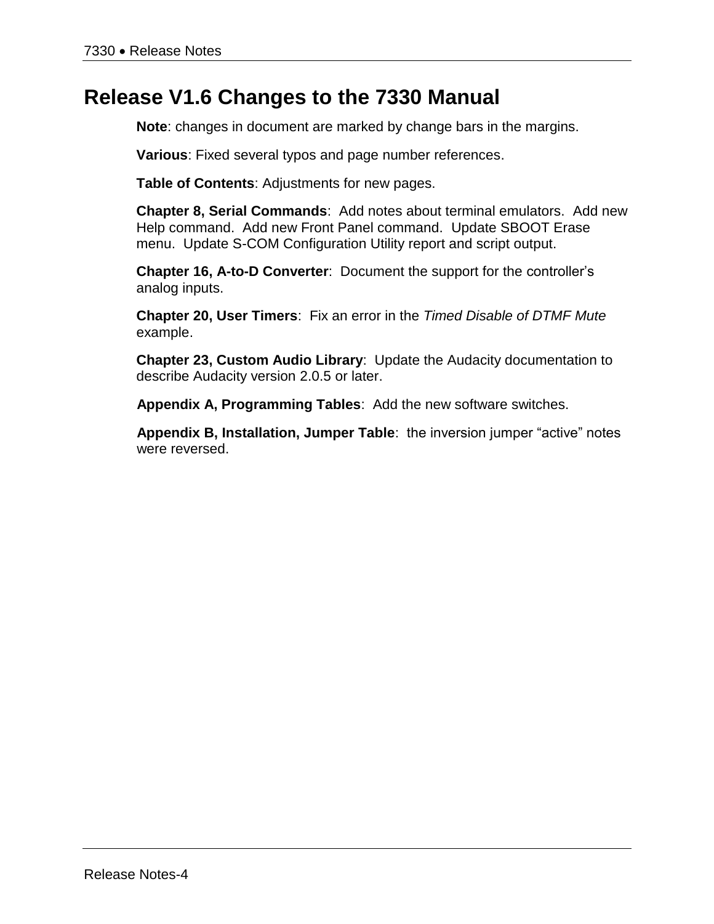## **Release V1.6 Changes to the 7330 Manual**

**Note**: changes in document are marked by change bars in the margins.

**Various**: Fixed several typos and page number references.

**Table of Contents**: Adjustments for new pages.

**Chapter 8, Serial Commands**: Add notes about terminal emulators. Add new Help command. Add new Front Panel command. Update SBOOT Erase menu. Update S-COM Configuration Utility report and script output.

**Chapter 16, A-to-D Converter**: Document the support for the controller's analog inputs.

**Chapter 20, User Timers**: Fix an error in the *Timed Disable of DTMF Mute* example.

**Chapter 23, Custom Audio Library**: Update the Audacity documentation to describe Audacity version 2.0.5 or later.

**Appendix A, Programming Tables**: Add the new software switches.

**Appendix B, Installation, Jumper Table**: the inversion jumper "active" notes were reversed.